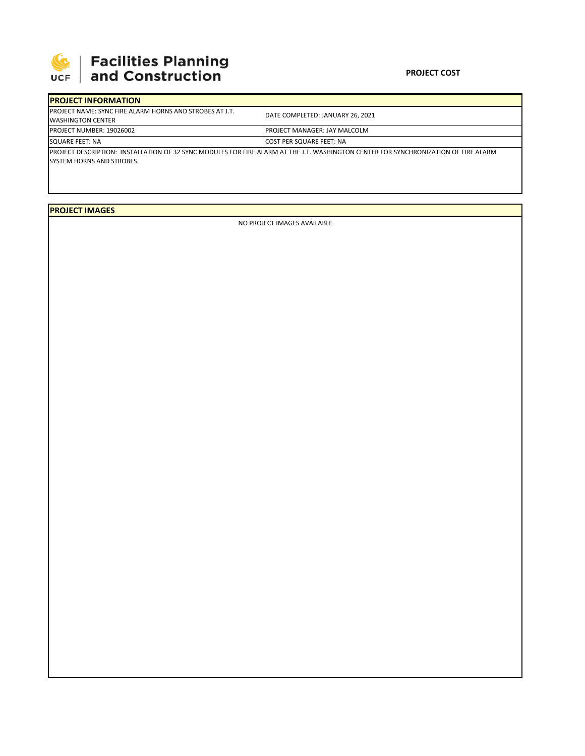

## **SEPTE AND Facilities Planning**<br>UCF and Construction

## **PROJECT COST**

| <b>IPROJECT INFORMATION</b>                                                                                                                                               |                                      |  |  |  |  |
|---------------------------------------------------------------------------------------------------------------------------------------------------------------------------|--------------------------------------|--|--|--|--|
| <b>IPROJECT NAME: SYNC FIRE ALARM HORNS AND STROBES AT J.T.</b><br><b>WASHINGTON CENTER</b>                                                                               | DATE COMPLETED: JANUARY 26, 2021     |  |  |  |  |
| <b>PROJECT NUMBER: 19026002</b>                                                                                                                                           | <b>IPROJECT MANAGER: JAY MALCOLM</b> |  |  |  |  |
| SQUARE FEET: NA                                                                                                                                                           | <b>ICOST PER SQUARE FEET: NA</b>     |  |  |  |  |
| IPROJECT DESCRIPTION: INSTALLATION OF 32 SYNC MODULES FOR FIRE ALARM AT THE J.T. WASHINGTON CENTER FOR SYNCHRONIZATION OF FIRE ALARM<br><b>ISYSTEM HORNS AND STROBES.</b> |                                      |  |  |  |  |

**PROJECT IMAGES**

NO PROJECT IMAGES AVAILABLE